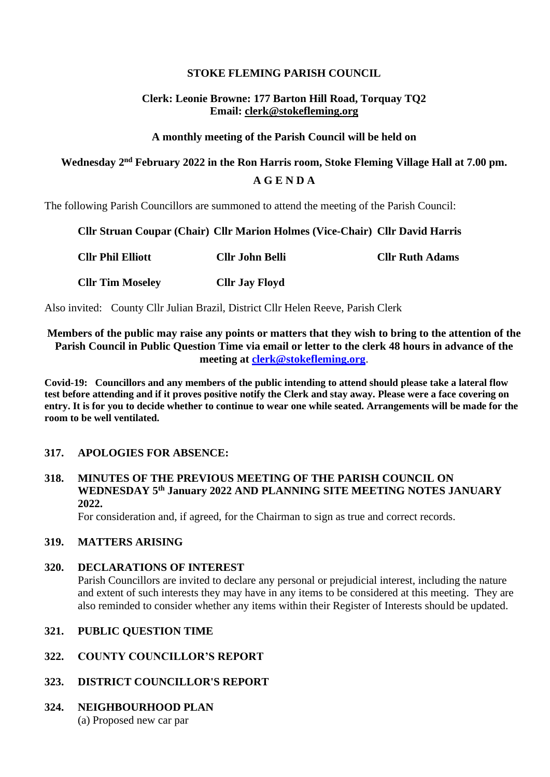## **STOKE FLEMING PARISH COUNCIL**

## **Clerk: Leonie Browne: 177 Barton Hill Road, Torquay TQ2 Email: clerk@stokefleming.org**

#### **A monthly meeting of the Parish Council will be held on**

# **Wednesday 2 nd February 2022 in the Ron Harris room, Stoke Fleming Village Hall at 7.00 pm. A G E N D A**

The following Parish Councillors are summoned to attend the meeting of the Parish Council:

#### **Cllr Struan Coupar (Chair) Cllr Marion Holmes (Vice-Chair) Cllr David Harris**

| <b>Cllr Phil Elliott</b> | <b>Cllr John Belli</b> | <b>Cllr Ruth Adams</b> |
|--------------------------|------------------------|------------------------|
| <b>Cllr Tim Moseley</b>  | <b>Cllr Jay Floyd</b>  |                        |

Also invited: County Cllr Julian Brazil, District Cllr Helen Reeve, Parish Clerk

## **Members of the public may raise any points or matters that they wish to bring to the attention of the Parish Council in Public Question Time via email or letter to the clerk 48 hours in advance of the meeting at [clerk@stokefleming.org](about:blank)**.

**Covid-19: Councillors and any members of the public intending to attend should please take a lateral flow test before attending and if it proves positive notify the Clerk and stay away. Please were a face covering on entry. It is for you to decide whether to continue to wear one while seated. Arrangements will be made for the room to be well ventilated.**

## **317. APOLOGIES FOR ABSENCE:**

## **318. MINUTES OF THE PREVIOUS MEETING OF THE PARISH COUNCIL ON WEDNESDAY 5 th January 2022 AND PLANNING SITE MEETING NOTES JANUARY 2022.**

For consideration and, if agreed, for the Chairman to sign as true and correct records.

## **319. MATTERS ARISING**

#### **320. DECLARATIONS OF INTEREST**

Parish Councillors are invited to declare any personal or prejudicial interest, including the nature and extent of such interests they may have in any items to be considered at this meeting. They are also reminded to consider whether any items within their Register of Interests should be updated.

#### **321. PUBLIC QUESTION TIME**

## **322. COUNTY COUNCILLOR'S REPORT**

## **323. DISTRICT COUNCILLOR'S REPORT**

## **324. NEIGHBOURHOOD PLAN**

(a) Proposed new car par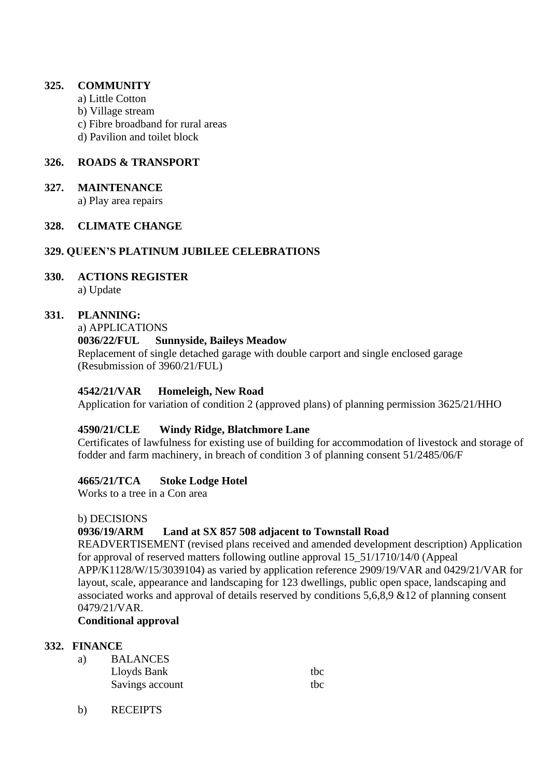### **325. COMMUNITY**

- a) Little Cotton
- b) Village stream
- c) Fibre broadband for rural areas
- d) Pavilion and toilet block

## **326. ROADS & TRANSPORT**

#### **327. MAINTENANCE**

a) Play area repairs

## **328. CLIMATE CHANGE**

#### **329. QUEEN'S PLATINUM JUBILEE CELEBRATIONS**

**330. ACTIONS REGISTER** a) Update

#### **331. PLANNING:**

a) APPLICATIONS

#### **0036/22/FUL Sunnyside, Baileys Meadow**

Replacement of single detached garage with double carport and single enclosed garage (Resubmission of 3960/21/FUL)

#### **4542/21/VAR Homeleigh, New Road**

Application for variation of condition 2 (approved plans) of planning permission 3625/21/HHO

## **4590/21/CLE Windy Ridge, Blatchmore Lane**

Certificates of lawfulness for existing use of building for accommodation of livestock and storage of fodder and farm machinery, in breach of condition 3 of planning consent 51/2485/06/F

## **4665/21/TCA Stoke Lodge Hotel**

Works to a tree in a Con area

#### b) DECISIONS

## **0936/19/ARM Land at SX 857 508 adjacent to Townstall Road**

READVERTISEMENT (revised plans received and amended development description) Application for approval of reserved matters following outline approval 15\_51/1710/14/0 (Appeal APP/K1128/W/15/3039104) as varied by application reference 2909/19/VAR and 0429/21/VAR for layout, scale, appearance and landscaping for 123 dwellings, public open space, landscaping and associated works and approval of details reserved by conditions 5,6,8,9 &12 of planning consent 0479/21/VAR.

#### **Conditional approval**

#### **332. FINANCE**

| <b>BALANCES</b> |     |
|-----------------|-----|
| Lloyds Bank     | thc |
| Savings account | thc |
|                 |     |

b) RECEIPTS